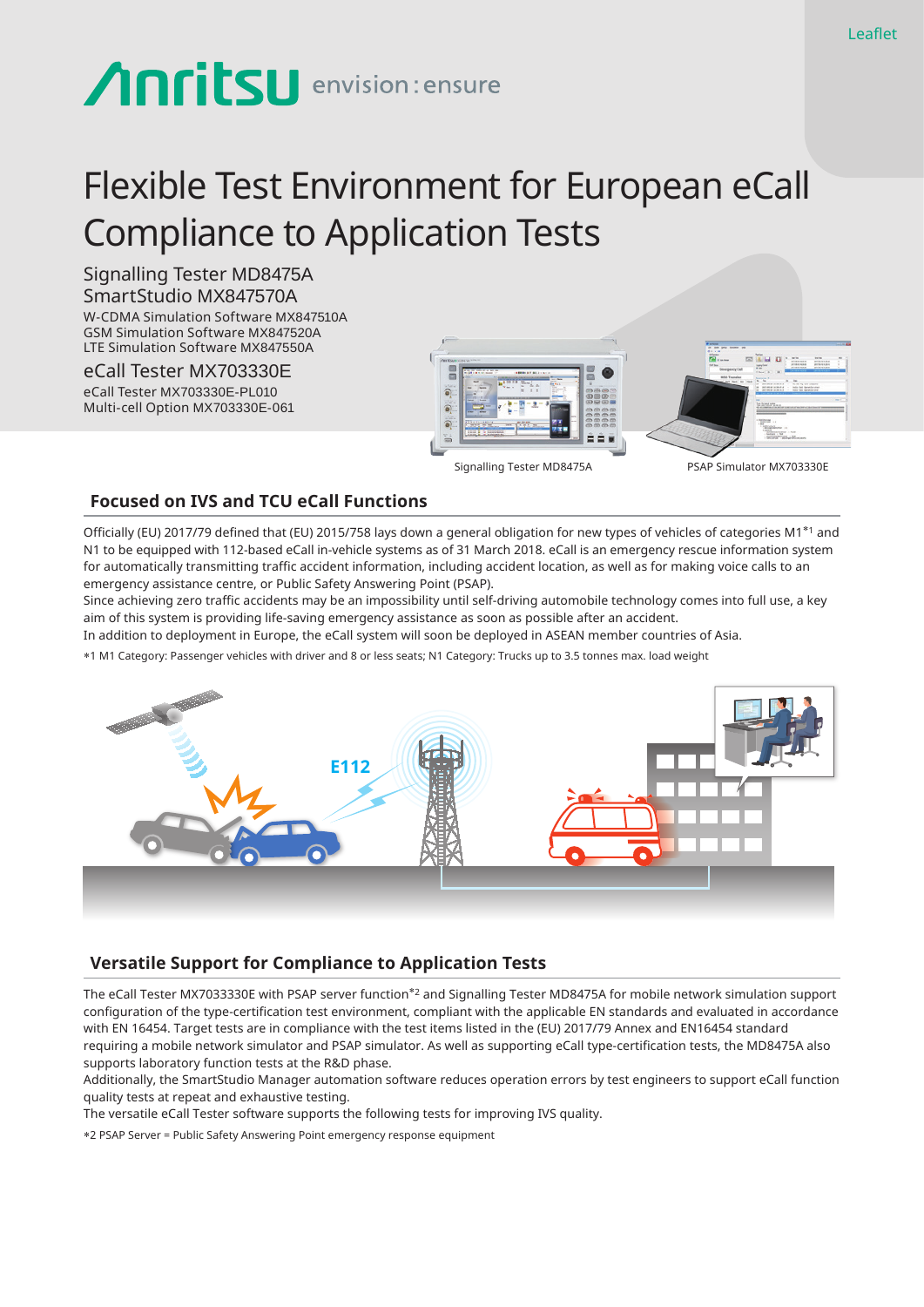# **Anritsu** envision: ensure

# Flexible Test Environment for European eCall Compliance to Application Tests

#### Signalling Tester MD8475A SmartStudio MX847570A

W-CDMA Simulation Software MX847510A GSM Simulation Software MX847520A LTE Simulation Software MX847550A

eCall Tester MX703330E eCall Tester MX703330E-PL010 Multi-cell Option MX703330E-061





Signalling Tester MD8475A PSAP Simulator MX703330E

#### **Focused on IVS and TCU eCall Functions**

Officially (EU) 2017/79 defined that (EU) 2015/758 lays down a general obligation for new types of vehicles of categories M1\*1 and N1 to be equipped with 112-based eCall in-vehicle systems as of 31 March 2018. eCall is an emergency rescue information system for automatically transmitting traffic accident information, including accident location, as well as for making voice calls to an emergency assistance centre, or Public Safety Answering Point (PSAP).

Since achieving zero traffic accidents may be an impossibility until self-driving automobile technology comes into full use, a key aim of this system is providing life-saving emergency assistance as soon as possible after an accident.

In addition to deployment in Europe, the eCall system will soon be deployed in ASEAN member countries of Asia.

\*1 M1 Category: Passenger vehicles with driver and 8 or less seats; N1 Category: Trucks up to 3.5 tonnes max. load weight



# **Versatile Support for Compliance to Application Tests**

The eCall Tester MX7033330E with PSAP server function\*2 and Signalling Tester MD8475A for mobile network simulation support configuration of the type-certification test environment, compliant with the applicable EN standards and evaluated in accordance with EN 16454. Target tests are in compliance with the test items listed in the (EU) 2017/79 Annex and EN16454 standard requiring a mobile network simulator and PSAP simulator. As well as supporting eCall type-certification tests, the MD8475A also supports laboratory function tests at the R&D phase.

Additionally, the SmartStudio Manager automation software reduces operation errors by test engineers to support eCall function quality tests at repeat and exhaustive testing.

The versatile eCall Tester software supports the following tests for improving IVS quality.

\*2 PSAP Server = Public Safety Answering Point emergency response equipment